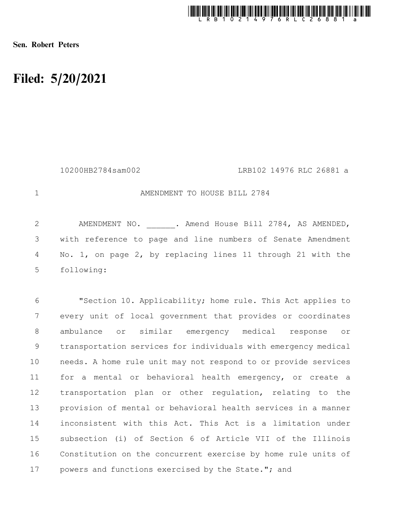

Sen. Robert Peters

1

## Filed: 5/20/2021

10200HB2784sam002 LRB102 14976 RLC 26881 a

AMENDMENT TO HOUSE BILL 2784

AMENDMENT NO. . Amend House Bill 2784, AS AMENDED, with reference to page and line numbers of Senate Amendment No. 1, on page 2, by replacing lines 11 through 21 with the following: 2 3 4 5

"Section 10. Applicability; home rule. This Act applies to every unit of local government that provides or coordinates ambulance or similar emergency medical response or transportation services for individuals with emergency medical needs. A home rule unit may not respond to or provide services for a mental or behavioral health emergency, or create a transportation plan or other regulation, relating to the provision of mental or behavioral health services in a manner inconsistent with this Act. This Act is a limitation under subsection (i) of Section 6 of Article VII of the Illinois Constitution on the concurrent exercise by home rule units of powers and functions exercised by the State."; and 6 7 8 9 10 11 12 13 14 15 16 17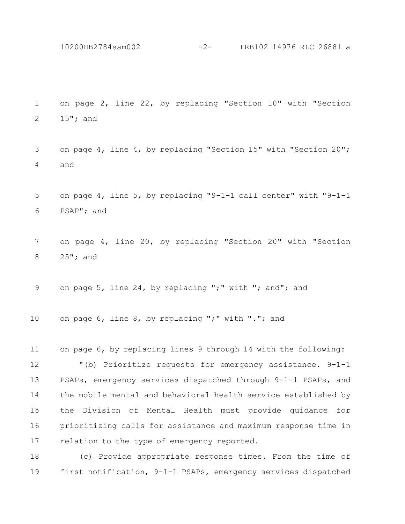10200HB2784sam002 -2- LRB102 14976 RLC 26881 a

on page 2, line 22, by replacing "Section 10" with "Section 15"; and 1 2

on page 4, line 4, by replacing "Section 15" with "Section 20"; and 3 4

on page 4, line 5, by replacing "9-1-1 call center" with "9-1-1 PSAP"; and 5 6

on page 4, line 20, by replacing "Section 20" with "Section 25"; and 7 8

on page 5, line 24, by replacing ";" with "; and"; and 9

on page 6, line 8, by replacing ";" with "."; and 10

on page 6, by replacing lines 9 through 14 with the following: 11

"(b) Prioritize requests for emergency assistance. 9-1-1 PSAPs, emergency services dispatched through 9-1-1 PSAPs, and the mobile mental and behavioral health service established by the Division of Mental Health must provide guidance for prioritizing calls for assistance and maximum response time in relation to the type of emergency reported. 12 13 14 15 16 17

(c) Provide appropriate response times. From the time of first notification, 9-1-1 PSAPs, emergency services dispatched 18 19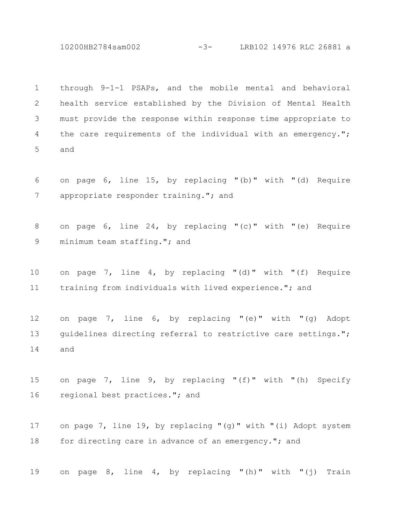10200HB2784sam002 -3- LRB102 14976 RLC 26881 a

through 9-1-1 PSAPs, and the mobile mental and behavioral health service established by the Division of Mental Health must provide the response within response time appropriate to the care requirements of the individual with an emergency."; and 1 2 3 4 5

on page 6, line 15, by replacing "(b)" with "(d) Require appropriate responder training."; and 6 7

on page 6, line 24, by replacing "(c)" with "(e) Require minimum team staffing."; and 8 9

on page 7, line 4, by replacing "(d)" with "(f) Require training from individuals with lived experience."; and 10 11

on page 7, line 6, by replacing "(e)" with "(g) Adopt guidelines directing referral to restrictive care settings."; and 12 13 14

on page 7, line 9, by replacing "(f)" with "(h) Specify regional best practices."; and 15 16

on page 7, line 19, by replacing "(g)" with "(i) Adopt system for directing care in advance of an emergency."; and 17 18

on page 8, line 4, by replacing "(h)" with "(j) Train 19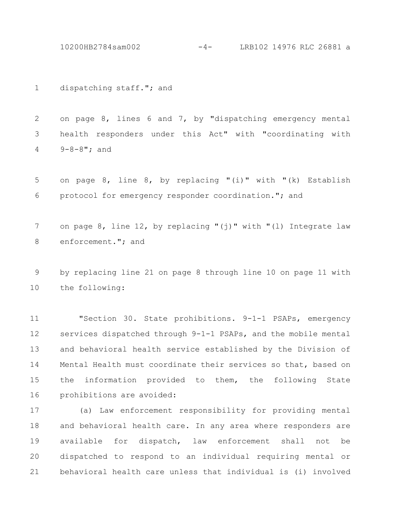10200HB2784sam002 -4- LRB102 14976 RLC 26881 a

dispatching staff."; and 1

on page 8, lines 6 and 7, by "dispatching emergency mental health responders under this Act" with "coordinating with 9-8-8"; and 2 3 4

on page 8, line 8, by replacing "(i)" with "(k) Establish protocol for emergency responder coordination."; and 5 6

on page 8, line 12, by replacing "(j)" with "(l) Integrate law enforcement."; and 7 8

by replacing line 21 on page 8 through line 10 on page 11 with the following: 9 10

"Section 30. State prohibitions. 9-1-1 PSAPs, emergency services dispatched through 9-1-1 PSAPs, and the mobile mental and behavioral health service established by the Division of Mental Health must coordinate their services so that, based on the information provided to them, the following State prohibitions are avoided: 11 12 13 14 15 16

(a) Law enforcement responsibility for providing mental and behavioral health care. In any area where responders are available for dispatch, law enforcement shall not be dispatched to respond to an individual requiring mental or behavioral health care unless that individual is (i) involved 17 18 19 20 21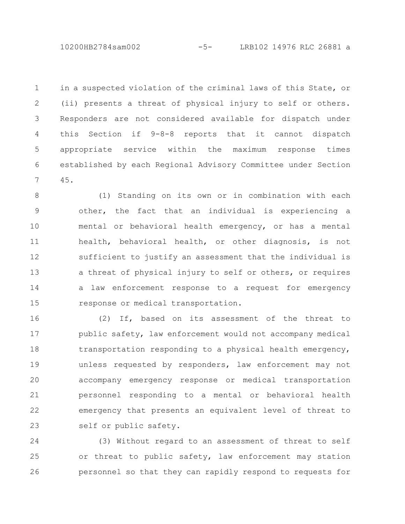10200HB2784sam002 -5- LRB102 14976 RLC 26881 a

in a suspected violation of the criminal laws of this State, or (ii) presents a threat of physical injury to self or others. Responders are not considered available for dispatch under this Section if 9-8-8 reports that it cannot dispatch appropriate service within the maximum response times established by each Regional Advisory Committee under Section 45. 1 2 3 4 5 6 7

(1) Standing on its own or in combination with each other, the fact that an individual is experiencing a mental or behavioral health emergency, or has a mental health, behavioral health, or other diagnosis, is not sufficient to justify an assessment that the individual is a threat of physical injury to self or others, or requires a law enforcement response to a request for emergency response or medical transportation. 8 9 10 11 12 13 14 15

(2) If, based on its assessment of the threat to public safety, law enforcement would not accompany medical transportation responding to a physical health emergency, unless requested by responders, law enforcement may not accompany emergency response or medical transportation personnel responding to a mental or behavioral health emergency that presents an equivalent level of threat to self or public safety. 16 17 18 19 20 21 22 23

(3) Without regard to an assessment of threat to self or threat to public safety, law enforcement may station personnel so that they can rapidly respond to requests for 24 25 26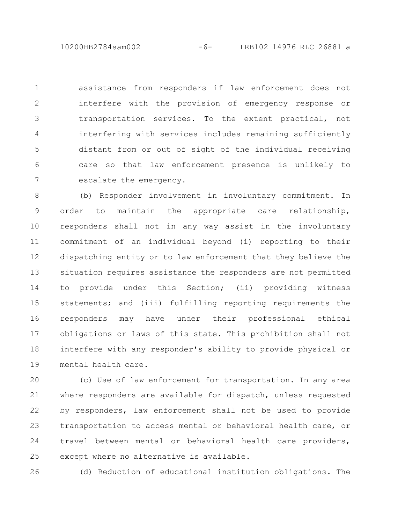10200HB2784sam002 -6- LRB102 14976 RLC 26881 a

assistance from responders if law enforcement does not interfere with the provision of emergency response or transportation services. To the extent practical, not interfering with services includes remaining sufficiently distant from or out of sight of the individual receiving care so that law enforcement presence is unlikely to escalate the emergency. 1 2 3 4 5 6 7

(b) Responder involvement in involuntary commitment. In order to maintain the appropriate care relationship, responders shall not in any way assist in the involuntary commitment of an individual beyond (i) reporting to their dispatching entity or to law enforcement that they believe the situation requires assistance the responders are not permitted to provide under this Section; (ii) providing witness statements; and (iii) fulfilling reporting requirements the responders may have under their professional ethical obligations or laws of this state. This prohibition shall not interfere with any responder's ability to provide physical or mental health care. 8 9 10 11 12 13 14 15 16 17 18 19

(c) Use of law enforcement for transportation. In any area where responders are available for dispatch, unless requested by responders, law enforcement shall not be used to provide transportation to access mental or behavioral health care, or travel between mental or behavioral health care providers, except where no alternative is available. 20 21 22 23 24 25

26

(d) Reduction of educational institution obligations. The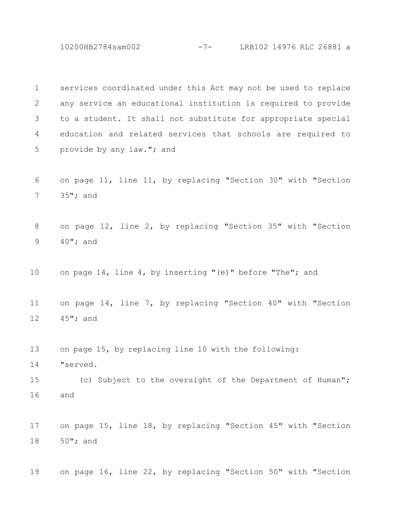10200HB2784sam002 -7- LRB102 14976 RLC 26881 a

services coordinated under this Act may not be used to replace any service an educational institution is required to provide to a student. It shall not substitute for appropriate special education and related services that schools are required to provide by any law."; and 1 2 3 4 5

on page 11, line 11, by replacing "Section 30" with "Section 35"; and 6 7

on page 12, line 2, by replacing "Section 35" with "Section 40"; and 8 9

on page 14, line 4, by inserting "(e)" before "The"; and 10

on page 14, line 7, by replacing "Section 40" with "Section 45"; and 11 12

on page 15, by replacing line 10 with the following: 13

"served. 14

(c) Subject to the oversight of the Department of Human"; and 15 16

on page 15, line 18, by replacing "Section 45" with "Section 50"; and 17 18

on page 16, line 22, by replacing "Section 50" with "Section 19